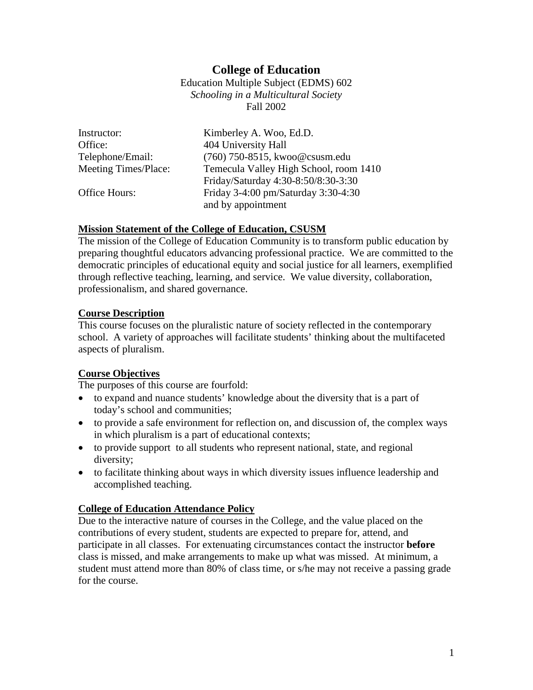# **College of Education**

Education Multiple Subject (EDMS) 602 *Schooling in a Multicultural Society* Fall 2002

| Instructor:          | Kimberley A. Woo, Ed.D.                |
|----------------------|----------------------------------------|
| Office:              | 404 University Hall                    |
| Telephone/Email:     | (760) 750-8515, kwoo@csusm.edu         |
| Meeting Times/Place: | Temecula Valley High School, room 1410 |
|                      | Friday/Saturday 4:30-8:50/8:30-3:30    |
| Office Hours:        | Friday 3-4:00 pm/Saturday 3:30-4:30    |
|                      | and by appointment                     |

#### **Mission Statement of the College of Education, CSUSM**

The mission of the College of Education Community is to transform public education by preparing thoughtful educators advancing professional practice. We are committed to the democratic principles of educational equity and social justice for all learners, exemplified through reflective teaching, learning, and service. We value diversity, collaboration, professionalism, and shared governance.

#### **Course Description**

This course focuses on the pluralistic nature of society reflected in the contemporary school. A variety of approaches will facilitate students' thinking about the multifaceted aspects of pluralism.

#### **Course Objectives**

The purposes of this course are fourfold:

- to expand and nuance students' knowledge about the diversity that is a part of today's school and communities;
- to provide a safe environment for reflection on, and discussion of, the complex ways in which pluralism is a part of educational contexts;
- to provide support to all students who represent national, state, and regional diversity;
- to facilitate thinking about ways in which diversity issues influence leadership and accomplished teaching.

#### **College of Education Attendance Policy**

Due to the interactive nature of courses in the College, and the value placed on the contributions of every student, students are expected to prepare for, attend, and participate in all classes. For extenuating circumstances contact the instructor **before** class is missed, and make arrangements to make up what was missed. At minimum, a student must attend more than 80% of class time, or s/he may not receive a passing grade for the course.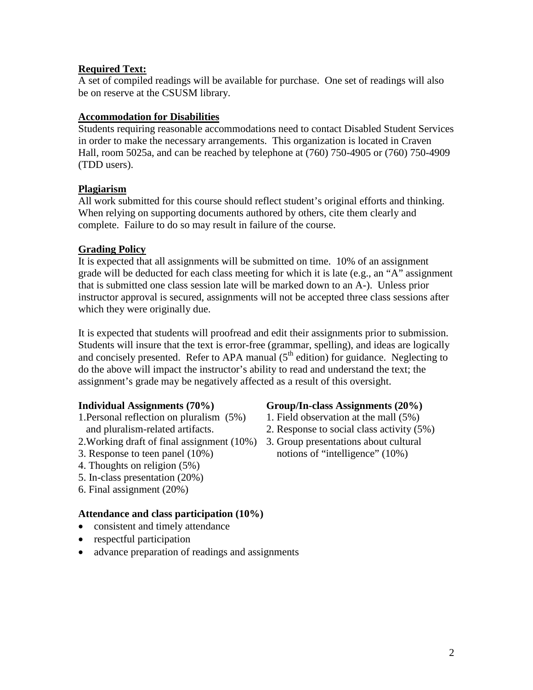## **Required Text:**

A set of compiled readings will be available for purchase. One set of readings will also be on reserve at the CSUSM library.

#### **Accommodation for Disabilities**

Students requiring reasonable accommodations need to contact Disabled Student Services in order to make the necessary arrangements. This organization is located in Craven Hall, room 5025a, and can be reached by telephone at (760) 750-4905 or (760) 750-4909 (TDD users).

#### **Plagiarism**

All work submitted for this course should reflect student's original efforts and thinking. When relying on supporting documents authored by others, cite them clearly and complete. Failure to do so may result in failure of the course.

#### **Grading Policy**

It is expected that all assignments will be submitted on time. 10% of an assignment grade will be deducted for each class meeting for which it is late (e.g., an "A" assignment that is submitted one class session late will be marked down to an A-). Unless prior instructor approval is secured, assignments will not be accepted three class sessions after which they were originally due.

It is expected that students will proofread and edit their assignments prior to submission. Students will insure that the text is error-free (grammar, spelling), and ideas are logically and concisely presented. Refer to APA manual  $(5<sup>th</sup>$  edition) for guidance. Neglecting to do the above will impact the instructor's ability to read and understand the text; the assignment's grade may be negatively affected as a result of this oversight.

- 1.Personal reflection on pluralism (5%) 1. Field observation at the mall (5%)
- 2.Working draft of final assignment (10%) 3. Group presentations about cultural
- 
- 4. Thoughts on religion (5%)
- 5. In-class presentation (20%)
- 6. Final assignment (20%)

## **Attendance and class participation (10%)**

- consistent and timely attendance
- respectful participation
- advance preparation of readings and assignments

## **Individual Assignments (70%) Group/In-class Assignments (20%)**

- 
- and pluralism-related artifacts. 2. Response to social class activity (5%)
- 3. Response to teen panel (10%) notions of "intelligence" (10%)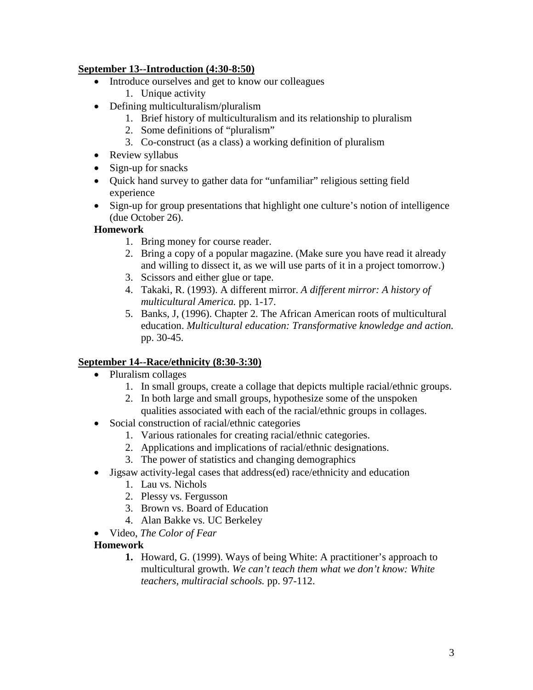## **September 13--Introduction (4:30-8:50)**

- Introduce ourselves and get to know our colleagues 1. Unique activity
- Defining multiculturalism/pluralism
	- 1. Brief history of multiculturalism and its relationship to pluralism
	- 2. Some definitions of "pluralism"
	- 3. Co-construct (as a class) a working definition of pluralism
- Review syllabus
- Sign-up for snacks
- Quick hand survey to gather data for "unfamiliar" religious setting field experience
- Sign-up for group presentations that highlight one culture's notion of intelligence (due October 26).

## **Homework**

- 1. Bring money for course reader.
- 2. Bring a copy of a popular magazine. (Make sure you have read it already and willing to dissect it, as we will use parts of it in a project tomorrow.)
- 3. Scissors and either glue or tape.
- 4. Takaki, R. (1993). A different mirror. *A different mirror: A history of multicultural America.* pp. 1-17.
- 5. Banks, J, (1996). Chapter 2. The African American roots of multicultural education. *Multicultural education: Transformative knowledge and action.* pp. 30-45.

# **September 14--Race/ethnicity (8:30-3:30)**

- Pluralism collages
	- 1. In small groups, create a collage that depicts multiple racial/ethnic groups.
	- 2. In both large and small groups, hypothesize some of the unspoken qualities associated with each of the racial/ethnic groups in collages.
- Social construction of racial/ethnic categories
	- 1. Various rationales for creating racial/ethnic categories.
	- 2. Applications and implications of racial/ethnic designations.
	- 3. The power of statistics and changing demographics
- Jigsaw activity-legal cases that address(ed) race/ethnicity and education
	- 1. Lau vs. Nichols
	- 2. Plessy vs. Fergusson
	- 3. Brown vs. Board of Education
	- 4. Alan Bakke vs. UC Berkeley
- Video, *The Color of Fear*

## **Homework**

**1.** Howard, G. (1999). Ways of being White: A practitioner's approach to multicultural growth. *We can't teach them what we don't know: White teachers, multiracial schools.* pp. 97-112.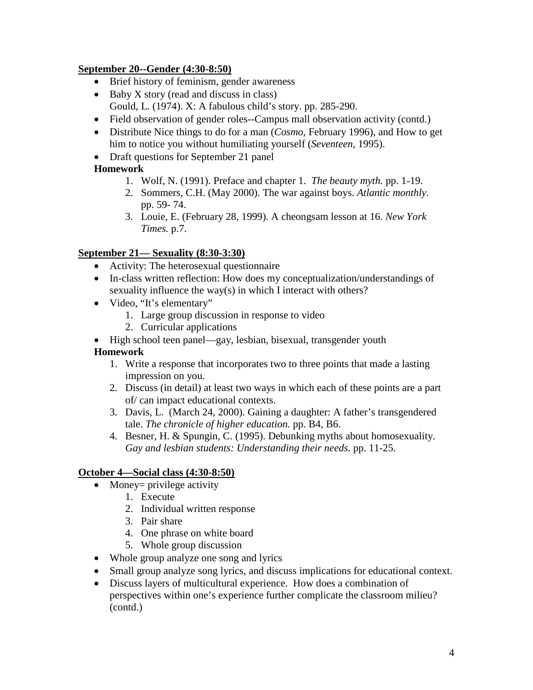## **September 20--Gender (4:30-8:50)**

- Brief history of feminism, gender awareness
- Baby X story (read and discuss in class) Gould, L. (1974). X: A fabulous child's story. pp. 285-290.
- Field observation of gender roles--Campus mall observation activity (contd.)
- Distribute Nice things to do for a man (*Cosmo*, February 1996), and How to get him to notice you without humiliating yourself (*Seventeen*, 1995).
- Draft questions for September 21 panel

# **Homework**

- 1. Wolf, N. (1991). Preface and chapter 1. *The beauty myth.* pp. 1-19.
- 2. Sommers, C.H. (May 2000). The war against boys. *Atlantic monthly.*  pp. 59- 74.
- 3. Louie, E. (February 28, 1999). A cheongsam lesson at 16. *New York Times.* p.7.

## **September 21— Sexuality (8:30-3:30)**

- Activity: The heterosexual questionnaire
- In-class written reflection: How does my conceptualization/understandings of sexuality influence the way(s) in which I interact with others?
- Video, "It's elementary"
	- 1. Large group discussion in response to video
	- 2. Curricular applications
- High school teen panel—gay, lesbian, bisexual, transgender youth

# **Homework**

- 1. Write a response that incorporates two to three points that made a lasting impression on you.
- 2. Discuss (in detail) at least two ways in which each of these points are a part of/ can impact educational contexts.
- 3. Davis, L. (March 24, 2000). Gaining a daughter: A father's transgendered tale. *The chronicle of higher education.* pp. B4, B6.
- 4. Besner, H. & Spungin, C. (1995). Debunking myths about homosexuality. *Gay and lesbian students: Understanding their needs.* pp. 11-25.

# **October 4—Social class (4:30-8:50)**

- Money= privilege activity
	- 1. Execute
	- 2. Individual written response
	- 3. Pair share
	- 4. One phrase on white board
	- 5. Whole group discussion
- Whole group analyze one song and lyrics
- Small group analyze song lyrics, and discuss implications for educational context.
- Discuss layers of multicultural experience. How does a combination of perspectives within one's experience further complicate the classroom milieu? (contd.)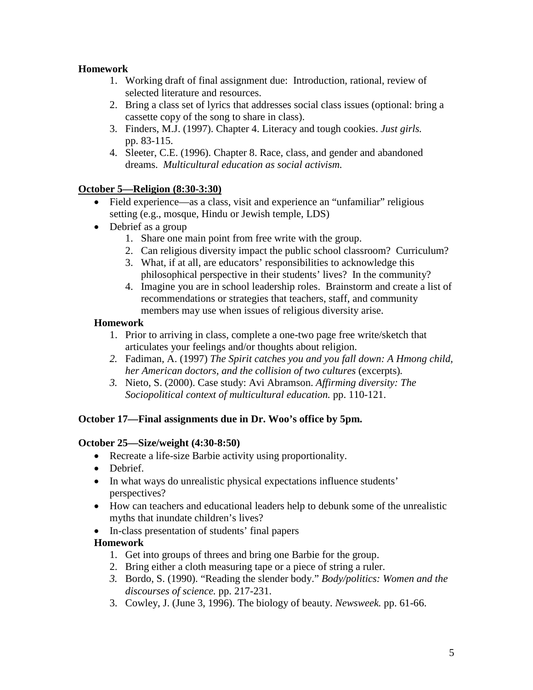## **Homework**

- 1. Working draft of final assignment due: Introduction, rational, review of selected literature and resources.
- 2. Bring a class set of lyrics that addresses social class issues (optional: bring a cassette copy of the song to share in class).
- 3. Finders, M.J. (1997). Chapter 4. Literacy and tough cookies. *Just girls.* pp. 83-115.
- 4. Sleeter, C.E. (1996). Chapter 8. Race, class, and gender and abandoned dreams. *Multicultural education as social activism.*

## **October 5—Religion (8:30-3:30)**

- Field experience—as a class, visit and experience an "unfamiliar" religious setting (e.g., mosque, Hindu or Jewish temple, LDS)
- Debrief as a group
	- 1. Share one main point from free write with the group.
	- 2. Can religious diversity impact the public school classroom? Curriculum?
	- 3. What, if at all, are educators' responsibilities to acknowledge this philosophical perspective in their students' lives? In the community?
	- 4. Imagine you are in school leadership roles. Brainstorm and create a list of recommendations or strategies that teachers, staff, and community members may use when issues of religious diversity arise.

## **Homework**

- 1. Prior to arriving in class, complete a one-two page free write/sketch that articulates your feelings and/or thoughts about religion.
- *2.* Fadiman, A. (1997) *The Spirit catches you and you fall down: A Hmong child, her American doctors, and the collision of two cultures* (excerpts)*.*
- *3.* Nieto, S. (2000). Case study: Avi Abramson. *Affirming diversity: The Sociopolitical context of multicultural education.* pp. 110-121.

## **October 17—Final assignments due in Dr. Woo's office by 5pm.**

## **October 25—Size/weight (4:30-8:50)**

- Recreate a life-size Barbie activity using proportionality.
- Debrief.
- In what ways do unrealistic physical expectations influence students' perspectives?
- How can teachers and educational leaders help to debunk some of the unrealistic myths that inundate children's lives?
- In-class presentation of students' final papers

# **Homework**

- 1. Get into groups of threes and bring one Barbie for the group.
- 2. Bring either a cloth measuring tape or a piece of string a ruler.
- *3.* Bordo, S. (1990). "Reading the slender body." *Body/politics: Women and the discourses of science.* pp. 217-231.
- 3. Cowley, J. (June 3, 1996). The biology of beauty. *Newsweek.* pp. 61-66.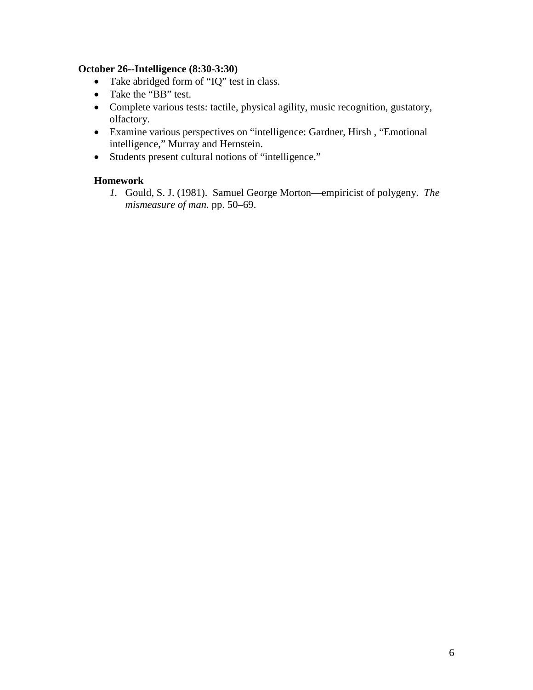#### **October 26--Intelligence (8:30-3:30)**

- Take abridged form of "IQ" test in class.
- Take the "BB" test.
- Complete various tests: tactile, physical agility, music recognition, gustatory, olfactory.
- Examine various perspectives on "intelligence: Gardner, Hirsh , "Emotional intelligence," Murray and Hernstein.
- Students present cultural notions of "intelligence."

#### **Homework**

*1.* Gould, S. J. (1981). Samuel George Morton—empiricist of polygeny. *The mismeasure of man.* pp. 50–69.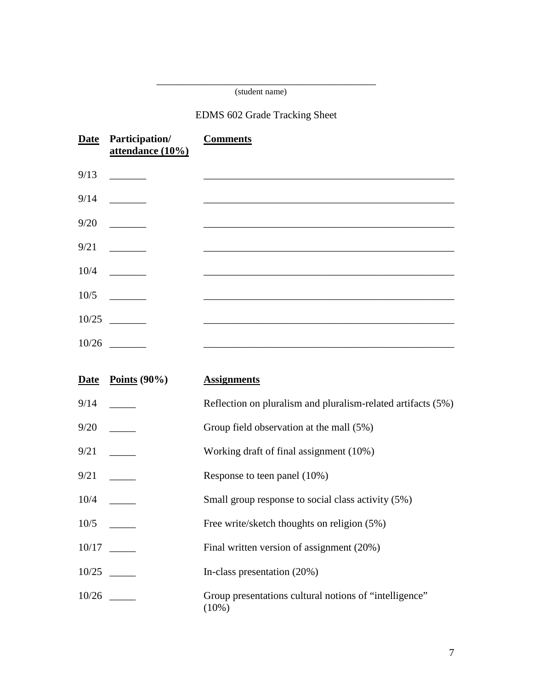#### \_\_\_\_\_\_\_\_\_\_\_\_\_\_\_\_\_\_\_\_\_\_\_\_\_\_\_\_\_\_\_\_\_\_\_\_\_\_\_\_\_\_ (student name)

# EDMS 602 Grade Tracking Sheet

|       | Date Participation/<br>attendance (10%) | <b>Comments</b> |
|-------|-----------------------------------------|-----------------|
| 9/13  |                                         |                 |
| 9/14  |                                         |                 |
| 9/20  | <u> 1999 - Jan Jan Jawa</u>             |                 |
| 9/21  | <u>and the state</u>                    |                 |
| 10/4  | <u>and the state</u>                    |                 |
| 10/5  |                                         |                 |
| 10/25 |                                         |                 |
| 10/26 |                                         |                 |

|      | Date Points $(90\%)$ | <b>Assignments</b>                                                 |
|------|----------------------|--------------------------------------------------------------------|
| 9/14 |                      | Reflection on pluralism and pluralism-related artifacts (5%)       |
|      |                      | Group field observation at the mall (5%)                           |
|      | 9/21                 | Working draft of final assignment (10%)                            |
|      | 9/21                 | Response to teen panel (10%)                                       |
|      | 10/4                 | Small group response to social class activity (5%)                 |
|      |                      | Free write/sketch thoughts on religion (5%)                        |
|      | 10/17                | Final written version of assignment (20%)                          |
|      | 10/25                | In-class presentation (20%)                                        |
|      | 10/26                | Group presentations cultural notions of "intelligence"<br>$(10\%)$ |